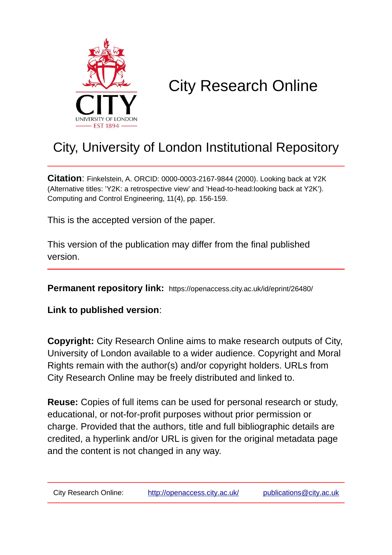

# City Research Online

## City, University of London Institutional Repository

**Citation**: Finkelstein, A. ORCID: 0000-0003-2167-9844 (2000). Looking back at Y2K (Alternative titles: 'Y2K: a retrospective view' and 'Head-to-head:looking back at Y2K'). Computing and Control Engineering, 11(4), pp. 156-159.

This is the accepted version of the paper.

This version of the publication may differ from the final published version.

**Permanent repository link:** https://openaccess.city.ac.uk/id/eprint/26480/

**Link to published version**:

**Copyright:** City Research Online aims to make research outputs of City, University of London available to a wider audience. Copyright and Moral Rights remain with the author(s) and/or copyright holders. URLs from City Research Online may be freely distributed and linked to.

**Reuse:** Copies of full items can be used for personal research or study, educational, or not-for-profit purposes without prior permission or charge. Provided that the authors, title and full bibliographic details are credited, a hyperlink and/or URL is given for the original metadata page and the content is not changed in any way.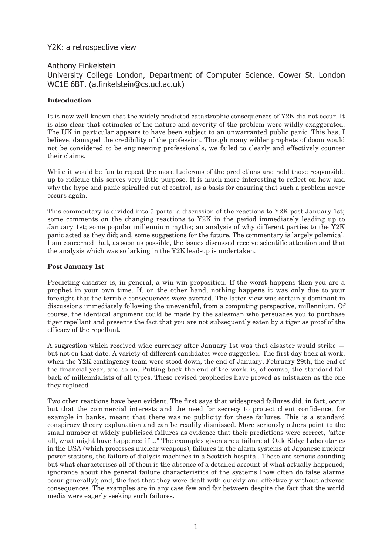#### Y2K: a retrospective view

### Anthony Finkelstein University College London, Department of Computer Science, Gower St. London WC1E 6BT. (a.finkelstein@cs.ucl.ac.uk)

#### **Introduction**

It is now well known that the widely predicted catastrophic consequences of Y2K did not occur. It is also clear that estimates of the nature and severity of the problem were wildly exaggerated. The UK in particular appears to have been subject to an unwarranted public panic. This has, I believe, damaged the credibility of the profession. Though many wilder prophets of doom would not be considered to be engineering professionals, we failed to clearly and effectively counter their claims.

While it would be fun to repeat the more ludicrous of the predictions and hold those responsible up to ridicule this serves very little purpose. It is much more interesting to reflect on how and why the hype and panic spiralled out of control, as a basis for ensuring that such a problem never occurs again.

This commentary is divided into 5 parts: a discussion of the reactions to Y2K post-January 1st; some comments on the changing reactions to Y2K in the period immediately leading up to January 1st; some popular millennium myths; an analysis of why different parties to the Y2K panic acted as they did; and, some suggestions for the future. The commentary is largely polemical. I am concerned that, as soon as possible, the issues discussed receive scientific attention and that the analysis which was so lacking in the Y2K lead-up is undertaken.

#### **Post January 1st**

Predicting disaster is, in general, a win-win proposition. If the worst happens then you are a prophet in your own time. If, on the other hand, nothing happens it was only due to your foresight that the terrible consequences were averted. The latter view was certainly dominant in discussions immediately following the uneventful, from a computing perspective, millennium. Of course, the identical argument could be made by the salesman who persuades you to purchase tiger repellant and presents the fact that you are not subsequently eaten by a tiger as proof of the efficacy of the repellant.

A suggestion which received wide currency after January 1st was that disaster would strike but not on that date. A variety of different candidates were suggested. The first day back at work, when the Y2K contingency team were stood down, the end of January, February 29th, the end of the financial year, and so on. Putting back the end-of-the-world is, of course, the standard fall back of millennialists of all types. These revised prophecies have proved as mistaken as the one they replaced.

Two other reactions have been evident. The first says that widespread failures did, in fact, occur but that the commercial interests and the need for secrecy to protect client confidence, for example in banks, meant that there was no publicity for these failures. This is a standard conspiracy theory explanation and can be readily dismissed. More seriously others point to the small number of widely publicised failures as evidence that their predictions were correct, "after all, what might have happened if ..." The examples given are a failure at Oak Ridge Laboratories in the USA (which processes nuclear weapons), failures in the alarm systems at Japanese nuclear power stations, the failure of dialysis machines in a Scottish hospital. These are serious sounding but what characterises all of them is the absence of a detailed account of what actually happened; ignorance about the general failure characteristics of the systems (how often do false alarms occur generally); and, the fact that they were dealt with quickly and effectively without adverse consequences. The examples are in any case few and far between despite the fact that the world media were eagerly seeking such failures.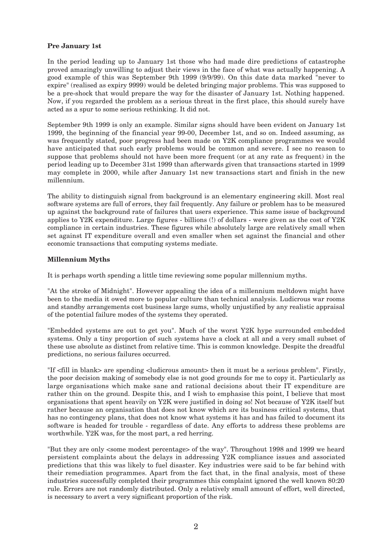#### **Pre January 1st**

In the period leading up to January 1st those who had made dire predictions of catastrophe proved amazingly unwilling to adjust their views in the face of what was actually happening. A good example of this was September 9th 1999 (9/9/99). On this date data marked "never to expire" (realised as expiry 9999) would be deleted bringing major problems. This was supposed to be a pre-shock that would prepare the way for the disaster of January 1st. Nothing happened. Now, if you regarded the problem as a serious threat in the first place, this should surely have acted as a spur to some serious rethinking. It did not.

September 9th 1999 is only an example. Similar signs should have been evident on January 1st 1999, the beginning of the financial year 99-00, December 1st, and so on. Indeed assuming, as was frequently stated, poor progress had been made on Y2K compliance programmes we would have anticipated that such early problems would be common and severe. I see no reason to suppose that problems should not have been more frequent (or at any rate as frequent) in the period leading up to December 31st 1999 than afterwards given that transactions started in 1999 may complete in 2000, while after January 1st new transactions start and finish in the new millennium.

The ability to distinguish signal from background is an elementary engineering skill. Most real software systems are full of errors, they fail frequently. Any failure or problem has to be measured up against the background rate of failures that users experience. This same issue of background applies to Y2K expenditure. Large figures - billions (!) of dollars - were given as the cost of Y2K compliance in certain industries. These figures while absolutely large are relatively small when set against IT expenditure overall and even smaller when set against the financial and other economic transactions that computing systems mediate.

#### **Millennium Myths**

It is perhaps worth spending a little time reviewing some popular millennium myths.

"At the stroke of Midnight". However appealing the idea of a millennium meltdown might have been to the media it owed more to popular culture than technical analysis. Ludicrous war rooms and standby arrangements cost business large sums, wholly unjustified by any realistic appraisal of the potential failure modes of the systems they operated.

"Embedded systems are out to get you". Much of the worst Y2K hype surrounded embedded systems. Only a tiny proportion of such systems have a clock at all and a very small subset of these use absolute as distinct from relative time. This is common knowledge. Despite the dreadful predictions, no serious failures occurred.

"If <fill in blank> are spending <ludicrous amount> then it must be a serious problem". Firstly, the poor decision making of somebody else is not good grounds for me to copy it. Particularly as large organisations which make sane and rational decisions about their IT expenditure are rather thin on the ground. Despite this, and I wish to emphasise this point, I believe that most organisations that spent heavily on Y2K were justified in doing so! Not because of Y2K itself but rather because an organisation that does not know which are its business critical systems, that has no contingency plans, that does not know what systems it has and has failed to document its software is headed for trouble - regardless of date. Any efforts to address these problems are worthwhile. Y2K was, for the most part, a red herring.

"But they are only <some modest percentage> of the way". Throughout 1998 and 1999 we heard persistent complaints about the delays in addressing Y2K compliance issues and associated predictions that this was likely to fuel disaster. Key industries were said to be far behind with their remediation programmes. Apart from the fact that, in the final analysis, most of these industries successfully completed their programmes this complaint ignored the well known 80:20 rule. Errors are not randomly distributed. Only a relatively small amount of effort, well directed, is necessary to avert a very significant proportion of the risk.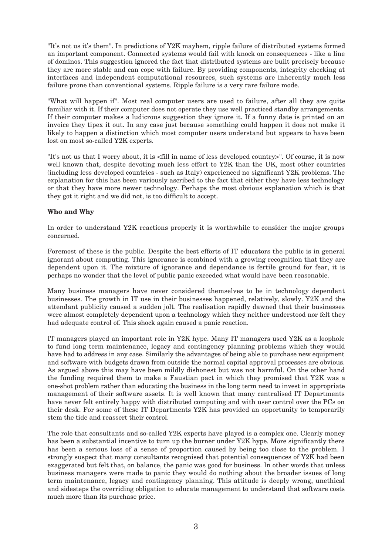"It's not us it's them". In predictions of Y2K mayhem, ripple failure of distributed systems formed an important component. Connected systems would fail with knock on consequences - like a line of dominos. This suggestion ignored the fact that distributed systems are built precisely because they are more stable and can cope with failure. By providing components, integrity checking at interfaces and independent computational resources, such systems are inherently much less failure prone than conventional systems. Ripple failure is a very rare failure mode.

"What will happen if". Most real computer users are used to failure, after all they are quite familiar with it. If their computer does not operate they use well practiced standby arrangements. If their computer makes a ludicrous suggestion they ignore it. If a funny date is printed on an invoice they tipex it out. In any case just because something could happen it does not make it likely to happen a distinction which most computer users understand but appears to have been lost on most so-called Y2K experts.

"It's not us that I worry about, it is <fill in name of less developed country>". Of course, it is now well known that, despite devoting much less effort to Y2K than the UK, most other countries (including less developed countries - such as Italy) experienced no significant Y2K problems. The explanation for this has been variously ascribed to the fact that either they have less technology or that they have more newer technology. Perhaps the most obvious explanation which is that they got it right and we did not, is too difficult to accept.

#### **Who and Why**

In order to understand Y2K reactions properly it is worthwhile to consider the major groups concerned.

Foremost of these is the public. Despite the best efforts of IT educators the public is in general ignorant about computing. This ignorance is combined with a growing recognition that they are dependent upon it. The mixture of ignorance and dependance is fertile ground for fear, it is perhaps no wonder that the level of public panic exceeded what would have been reasonable.

Many business managers have never considered themselves to be in technology dependent businesses. The growth in IT use in their businesses happened, relatively, slowly. Y2K and the attendant publicity caused a sudden jolt. The realisation rapidly dawned that their businesses were almost completely dependent upon a technology which they neither understood nor felt they had adequate control of. This shock again caused a panic reaction.

IT managers played an important role in Y2K hype. Many IT managers used Y2K as a loophole to fund long term maintenance, legacy and contingency planning problems which they would have had to address in any case. Similarly the advantages of being able to purchase new equipment and software with budgets drawn from outside the normal capital approval processes are obvious. As argued above this may have been mildly dishonest but was not harmful. On the other hand the funding required them to make a Faustian pact in which they promised that Y2K was a one-shot problem rather than educating the business in the long term need to invest in appropriate management of their software assets. It is well known that many centralised IT Departments have never felt entirely happy with distributed computing and with user control over the PCs on their desk. For some of these IT Departments Y2K has provided an opportunity to temporarily stem the tide and reassert their control.

The role that consultants and so-called Y2K experts have played is a complex one. Clearly money has been a substantial incentive to turn up the burner under Y2K hype. More significantly there has been a serious loss of a sense of proportion caused by being too close to the problem. I strongly suspect that many consultants recognised that potential consequences of Y2K had been exaggerated but felt that, on balance, the panic was good for business. In other words that unless business managers were made to panic they would do nothing about the broader issues of long term maintenance, legacy and contingency planning. This attitude is deeply wrong, unethical and sidesteps the overriding obligation to educate management to understand that software costs much more than its purchase price.